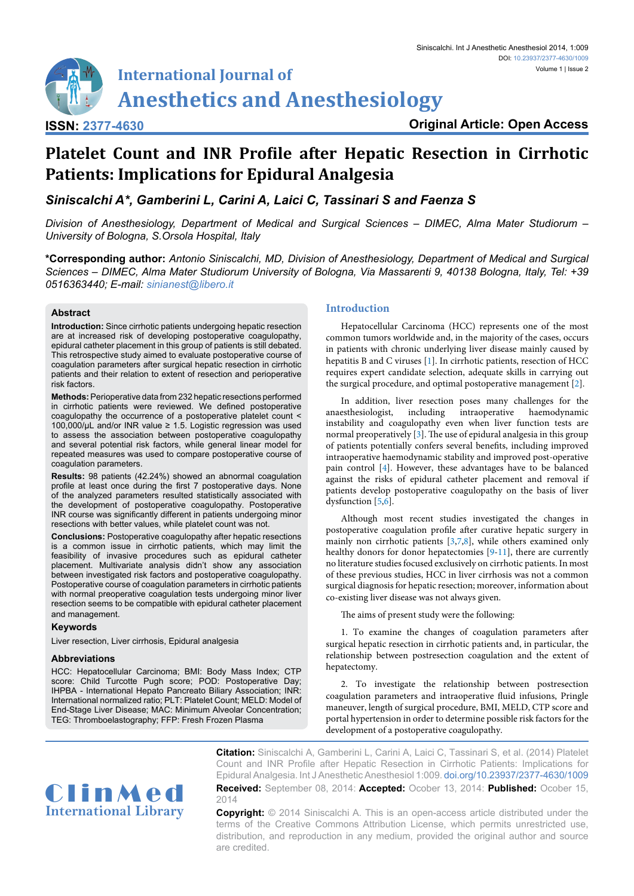**Original Article: Open Access**

Siniscalchi. Int J Anesthetic Anesthesiol 2014, 1:009

Volume 1 | Issue 2

# **Platelet Count and INR Profile after Hepatic Resection in Cirrhotic Patients: Implications for Epidural Analgesia**

*Siniscalchi A\*, Gamberini L, Carini A, Laici C, Tassinari S and Faenza S*

*Division of Anesthesiology, Department of Medical and Surgical Sciences – DIMEC, Alma Mater Studiorum – University of Bologna, S.Orsola Hospital, Italy*

**\*Corresponding author:** *Antonio Siniscalchi, MD, Division of Anesthesiology, Department of Medical and Surgical Sciences – DIMEC, Alma Mater Studiorum University of Bologna, Via Massarenti 9, 40138 Bologna, Italy, Tel: +39 0516363440; E-mail: sinianest@libero.it*

# **Abstract**

**ISSN: 2377-4630**

**Introduction:** Since cirrhotic patients undergoing hepatic resection are at increased risk of developing postoperative coagulopathy, epidural catheter placement in this group of patients is still debated. This retrospective study aimed to evaluate postoperative course of coagulation parameters after surgical hepatic resection in cirrhotic patients and their relation to extent of resection and perioperative risk factors.

**Methods:** Perioperative data from 232 hepatic resections performed in cirrhotic patients were reviewed. We defined postoperative coagulopathy the occurrence of a postoperative platelet count < 100,000/µL and/or INR value ≥ 1.5. Logistic regression was used to assess the association between postoperative coagulopathy and several potential risk factors, while general linear model for repeated measures was used to compare postoperative course of coagulation parameters.

**Results:** 98 patients (42.24%) showed an abnormal coagulation profile at least once during the first 7 postoperative days. None of the analyzed parameters resulted statistically associated with the development of postoperative coagulopathy. Postoperative INR course was significantly different in patients undergoing minor resections with better values, while platelet count was not.

**Conclusions:** Postoperative coagulopathy after hepatic resections is a common issue in cirrhotic patients, which may limit the feasibility of invasive procedures such as epidural catheter placement. Multivariate analysis didn't show any association between investigated risk factors and postoperative coagulopathy. Postoperative course of coagulation parameters in cirrhotic patients with normal preoperative coagulation tests undergoing minor liver resection seems to be compatible with epidural catheter placement and management.

# **Keywords**

Liver resection, Liver cirrhosis, Epidural analgesia

# **Abbreviations**

HCC: Hepatocellular Carcinoma; BMI: Body Mass Index; CTP score: Child Turcotte Pugh score; POD: Postoperative Day; IHPBA - International Hepato Pancreato Biliary Association; INR: International normalized ratio; PLT: Platelet Count; MELD: Model of End-Stage Liver Disease; MAC: Minimum Alveolar Concentration; TEG: Thromboelastography; FFP: Fresh Frozen Plasma

# **Introduction**

Hepatocellular Carcinoma (HCC) represents one of the most common tumors worldwide and, in the majority of the cases, occurs in patients with chronic underlying liver disease mainly caused by hepatitis B and C viruses [\[1\]](#page-4-0). In cirrhotic patients, resection of HCC requires expert candidate selection, adequate skills in carrying out the surgical procedure, and optimal postoperative management [[2](#page-4-1)].

In addition, liver resection poses many challenges for the esthesiologist, including intraoperative haemodynamic anaesthesiologist, including intraoperative haemodynamic instability and coagulopathy even when liver function tests are normal preoperatively [\[3](#page-4-2)]. The use of epidural analgesia in this group of patients potentially confers several benefits, including improved intraoperative haemodynamic stability and improved post-operative pain control [\[4](#page-4-3)]. However, these advantages have to be balanced against the risks of epidural catheter placement and removal if patients develop postoperative coagulopathy on the basis of liver dysfunction [\[5,](#page-4-4)[6\]](#page-4-5).

Although most recent studies investigated the changes in postoperative coagulation profile after curative hepatic surgery in mainly non cirrhotic patients [[3](#page-4-2)[,7,](#page-4-6)[8\]](#page-4-7), while others examined only healthy donors for donor hepatectomies [\[9](#page-4-8)-[11](#page-4-9)], there are currently no literature studies focused exclusively on cirrhotic patients. In most of these previous studies, HCC in liver cirrhosis was not a common surgical diagnosis for hepatic resection; moreover, information about co-existing liver disease was not always given.

The aims of present study were the following:

1. To examine the changes of coagulation parameters after surgical hepatic resection in cirrhotic patients and, in particular, the relationship between postresection coagulation and the extent of hepatectomy.

2. To investigate the relationship between postresection coagulation parameters and intraoperative fluid infusions, Pringle maneuver, length of surgical procedure, BMI, MELD, CTP score and portal hypertension in order to determine possible risk factors for the development of a postoperative coagulopathy.



**Citation:** Siniscalchi A, Gamberini L, Carini A, Laici C, Tassinari S, et al. (2014) Platelet Count and INR Profile after Hepatic Resection in Cirrhotic Patients: Implications for Epidural Analgesia. Int J Anesthetic Anesthesiol 1:009. [doi.org/10.23937/2377-4630/1009](https://doi.org/10.23937/2377-4630/1009) **Received:** September 08, 2014: **Accepted:** Ocober 13, 2014: **Published:** Ocober 15, 2014

**Copyright:** © 2014 Siniscalchi A. This is an open-access article distributed under the terms of the Creative Commons Attribution License, which permits unrestricted use, distribution, and reproduction in any medium, provided the original author and source are credited.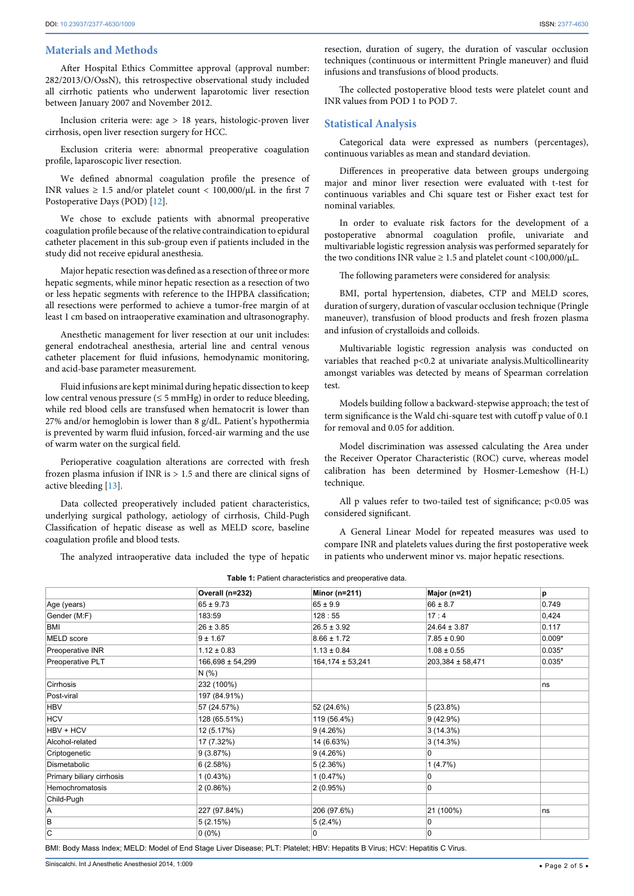#### **Materials and Methods**

After Hospital Ethics Committee approval (approval number: 282/2013/O/OssN), this retrospective observational study included all cirrhotic patients who underwent laparotomic liver resection between January 2007 and November 2012.

Inclusion criteria were: age > 18 years, histologic-proven liver cirrhosis, open liver resection surgery for HCC.

Exclusion criteria were: abnormal preoperative coagulation profile, laparoscopic liver resection.

We defined abnormal coagulation profile the presence of INR values  $\geq 1.5$  and/or platelet count < 100,000/ $\mu$ L in the first 7 Postoperative Days (POD) [[12](#page-4-10)].

We chose to exclude patients with abnormal preoperative coagulation profile because of the relative contraindication to epidural catheter placement in this sub-group even if patients included in the study did not receive epidural anesthesia.

Major hepatic resection was defined as a resection of three or more hepatic segments, while minor hepatic resection as a resection of two or less hepatic segments with reference to the IHPBA classification; all resections were performed to achieve a tumor-free margin of at least 1 cm based on intraoperative examination and ultrasonography.

Anesthetic management for liver resection at our unit includes: general endotracheal anesthesia, arterial line and central venous catheter placement for fluid infusions, hemodynamic monitoring, and acid-base parameter measurement.

Fluid infusions are kept minimal during hepatic dissection to keep low central venous pressure ( $\leq$  5 mmHg) in order to reduce bleeding, while red blood cells are transfused when hematocrit is lower than 27% and/or hemoglobin is lower than 8 g/dL. Patient's hypothermia is prevented by warm fluid infusion, forced-air warming and the use of warm water on the surgical field.

Perioperative coagulation alterations are corrected with fresh frozen plasma infusion if INR is > 1.5 and there are clinical signs of active bleeding [\[13](#page-4-11)].

Data collected preoperatively included patient characteristics, underlying surgical pathology, aetiology of cirrhosis, Child-Pugh Classification of hepatic disease as well as MELD score, baseline coagulation profile and blood tests.

The analyzed intraoperative data included the type of hepatic

resection, duration of sugery, the duration of vascular occlusion techniques (continuous or intermittent Pringle maneuver) and fluid infusions and transfusions of blood products.

The collected postoperative blood tests were platelet count and INR values from POD 1 to POD 7.

#### **Statistical Analysis**

Categorical data were expressed as numbers (percentages), continuous variables as mean and standard deviation.

Differences in preoperative data between groups undergoing major and minor liver resection were evaluated with t-test for continuous variables and Chi square test or Fisher exact test for nominal variables.

In order to evaluate risk factors for the development of a postoperative abnormal coagulation profile, univariate and multivariable logistic regression analysis was performed separately for the two conditions INR value  $\geq 1.5$  and platelet count <100,000/ $\mu$ L.

The following parameters were considered for analysis:

BMI, portal hypertension, diabetes, CTP and MELD scores, duration of surgery, duration of vascular occlusion technique (Pringle maneuver), transfusion of blood products and fresh frozen plasma and infusion of crystalloids and colloids.

Multivariable logistic regression analysis was conducted on variables that reached p<0.2 at univariate analysis.Multicollinearity amongst variables was detected by means of Spearman correlation test.

Models building follow a backward-stepwise approach; the test of term significance is the Wald chi-square test with cutoff p value of 0.1 for removal and 0.05 for addition.

Model discrimination was assessed calculating the Area under the Receiver Operator Characteristic (ROC) curve, whereas model calibration has been determined by Hosmer-Lemeshow (H-L) technique.

All  $p$  values refer to two-tailed test of significance;  $p<0.05$  was considered significant.

A General Linear Model for repeated measures was used to compare INR and platelets values during the first postoperative week in patients who underwent minor vs. major hepatic resections.

|                           | Overall (n=232)      | Minor (n=211)    | Major (n=21)     | p        |
|---------------------------|----------------------|------------------|------------------|----------|
| Age (years)               | $65 \pm 9.73$        | $65 \pm 9.9$     | $66 \pm 8.7$     | 0.749    |
| Gender (M:F)              | 183:59               | 128:55           | 17:4             | 0,424    |
| <b>BMI</b>                | $26 \pm 3.85$        | $26.5 \pm 3.92$  | $24.64 \pm 3.87$ | 0.117    |
| MELD score                | $9 + 1.67$           | $8.66 \pm 1.72$  | $7.85 \pm 0.90$  | $0.009*$ |
| Preoperative INR          | $1.12 \pm 0.83$      | $1.13 \pm 0.84$  | $1.08 \pm 0.55$  | $0.035*$ |
| Preoperative PLT          | $166,698 \pm 54,299$ | 164,174 ± 53,241 | 203,384 ± 58,471 | $0.035*$ |
|                           | N(% )                |                  |                  |          |
| Cirrhosis                 | 232 (100%)           |                  |                  | ns       |
| Post-viral                | 197 (84.91%)         |                  |                  |          |
| <b>HBV</b>                | 57 (24.57%)          | 52 (24.6%)       | 5(23.8%)         |          |
| <b>HCV</b>                | 128 (65.51%)         | 119 (56.4%)      | 9(42.9%)         |          |
| HBV + HCV                 | 12 (5.17%)           | 9(4.26%)         | 3(14.3%)         |          |
| Alcohol-related           | 17 (7.32%)           | 14 (6.63%)       | 3(14.3%)         |          |
| Criptogenetic             | 9(3.87%)             | 9(4.26%)         | 0                |          |
| Dismetabolic              | 6(2.58%)             | 5(2.36%)         | 1(4.7%)          |          |
| Primary biliary cirrhosis | 1(0.43%)             | 1(0.47%)         | 0                |          |
| Hemochromatosis           | 2(0.86%)             | 2(0.95%)         | 0                |          |
| Child-Pugh                |                      |                  |                  |          |
| A                         | 227 (97.84%)         | 206 (97.6%)      | 21 (100%)        | ns       |
| B                         | 5(2.15%)             | $5(2.4\%)$       | 0                |          |
| C                         | $0(0\%)$             | 0                | 0                |          |

<span id="page-1-0"></span>**Table 1:** Patient characteristics and preoperative data.

BMI: Body Mass Index; MELD: Model of End Stage Liver Disease; PLT: Platelet; HBV: Hepatits B Virus; HCV: Hepatitis C Virus.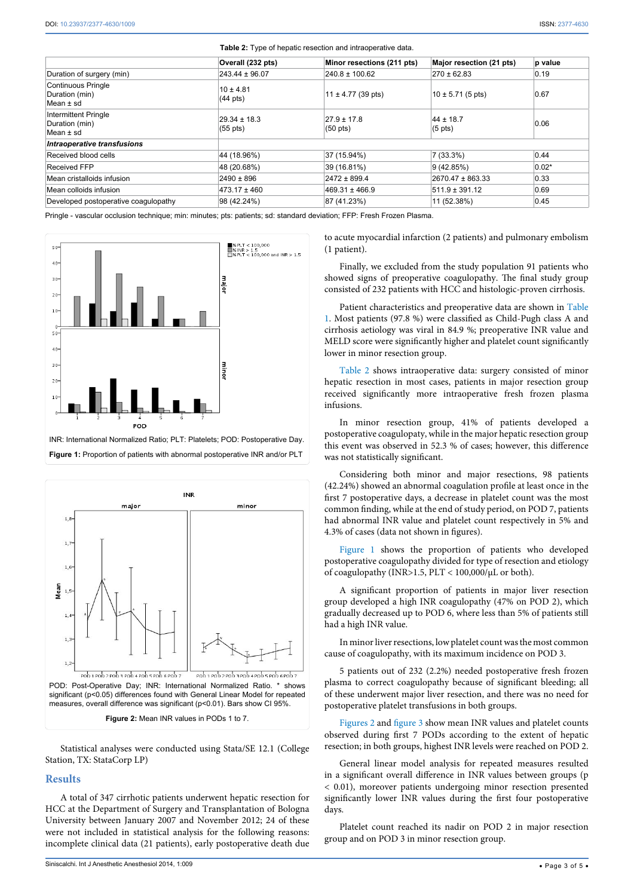|                                                            |                                        | <b>Table 2.</b> Type of hepatic resection and intrapperative data. |                                    |         |
|------------------------------------------------------------|----------------------------------------|--------------------------------------------------------------------|------------------------------------|---------|
|                                                            | Overall (232 pts)                      | Minor resections (211 pts)                                         | Major resection (21 pts)           | p value |
| Duration of surgery (min)                                  | $243.44 \pm 96.07$                     | $240.8 \pm 100.62$                                                 | $270 \pm 62.83$                    | 0.19    |
| Continuous Pringle<br>Duration (min)<br>Mean ± sd          | $10 \pm 4.81$<br>$(44 \text{ pts})$    | $11 \pm 4.77$ (39 pts)                                             | $10 \pm 5.71$ (5 pts)              | 0.67    |
| <b>Intermittent Pringle</b><br>Duration (min)<br>Mean ± sd | $29.34 \pm 18.3$<br>$(55 \text{ pts})$ | $27.9 \pm 17.8$<br>$(50 \text{ pts})$                              | $44 \pm 18.7$<br>$(5 \text{ pts})$ | 0.06    |
| <b>Intraoperative transfusions</b>                         |                                        |                                                                    |                                    |         |
| Received blood cells                                       | 44 (18.96%)                            | 37 (15.94%)                                                        | 7(33.3%)                           | 0.44    |
| <b>Received FFP</b>                                        | 48 (20.68%)                            | 39 (16.81%)                                                        | 9(42.85%)                          | $0.02*$ |
| Mean cristalloids infusion                                 | $2490 \pm 896$                         | $2472 \pm 899.4$                                                   | 2670.47 ± 863.33                   | 0.33    |
| Mean colloids infusion                                     | 473.17 ± 460                           | $469.31 \pm 466.9$                                                 | $511.9 \pm 391.12$                 | 0.69    |
| Developed postoperative coagulopathy                       | 98 (42.24%)                            | 87 (41.23%)                                                        | 11 (52.38%)                        | 0.45    |

<span id="page-2-0"></span>**Table 2:** Type of hepatic resection and intraoperative data.

Pringle - vascular occlusion technique; min: minutes; pts: patients; sd: standard deviation; FFP: Fresh Frozen Plasma.

<span id="page-2-1"></span>

<span id="page-2-2"></span>

Statistical analyses were conducted using Stata/SE 12.1 (College Station, TX: StataCorp LP)

# **Results**

A total of 347 cirrhotic patients underwent hepatic resection for HCC at the Department of Surgery and Transplantation of Bologna University between January 2007 and November 2012; 24 of these were not included in statistical analysis for the following reasons: incomplete clinical data (21 patients), early postoperative death due to acute myocardial infarction (2 patients) and pulmonary embolism (1 patient).

Finally, we excluded from the study population 91 patients who showed signs of preoperative coagulopathy. The final study group consisted of 232 patients with HCC and histologic-proven cirrhosis.

Patient characteristics and preoperative data are shown in [Table](#page-1-0)  [1](#page-1-0). Most patients (97.8 %) were classified as Child-Pugh class A and cirrhosis aetiology was viral in 84.9 %; preoperative INR value and MELD score were significantly higher and platelet count significantly lower in minor resection group.

[Table 2](#page-2-0) shows intraoperative data: surgery consisted of minor hepatic resection in most cases, patients in major resection group received significantly more intraoperative fresh frozen plasma infusions.

In minor resection group, 41% of patients developed a postoperative coagulopaty, while in the major hepatic resection group this event was observed in 52.3 % of cases; however, this difference was not statistically significant.

Considering both minor and major resections, 98 patients (42.24%) showed an abnormal coagulation profile at least once in the first 7 postoperative days, a decrease in platelet count was the most common finding, while at the end of study period, on POD 7, patients had abnormal INR value and platelet count respectively in 5% and 4.3% of cases (data not shown in figures).

[Figure 1](#page-2-1) shows the proportion of patients who developed postoperative coagulopathy divided for type of resection and etiology of coagulopathy (INR>1.5, PLT < 100,000/µL or both).

A significant proportion of patients in major liver resection group developed a high INR coagulopathy (47% on POD 2), which gradually decreased up to POD 6, where less than 5% of patients still had a high INR value.

In minor liver resections, low platelet count was the most common cause of coagulopathy, with its maximum incidence on POD 3.

5 patients out of 232 (2.2%) needed postoperative fresh frozen plasma to correct coagulopathy because of significant bleeding; all of these underwent major liver resection, and there was no need for postoperative platelet transfusions in both groups.

[Figures 2](#page-2-2) and [figure 3](#page-2-1) show mean INR values and platelet counts observed during first 7 PODs according to the extent of hepatic resection; in both groups, highest INR levels were reached on POD 2.

General linear model analysis for repeated measures resulted in a significant overall difference in INR values between groups (p < 0.01), moreover patients undergoing minor resection presented significantly lower INR values during the first four postoperative days.

Platelet count reached its nadir on POD 2 in major resection group and on POD 3 in minor resection group.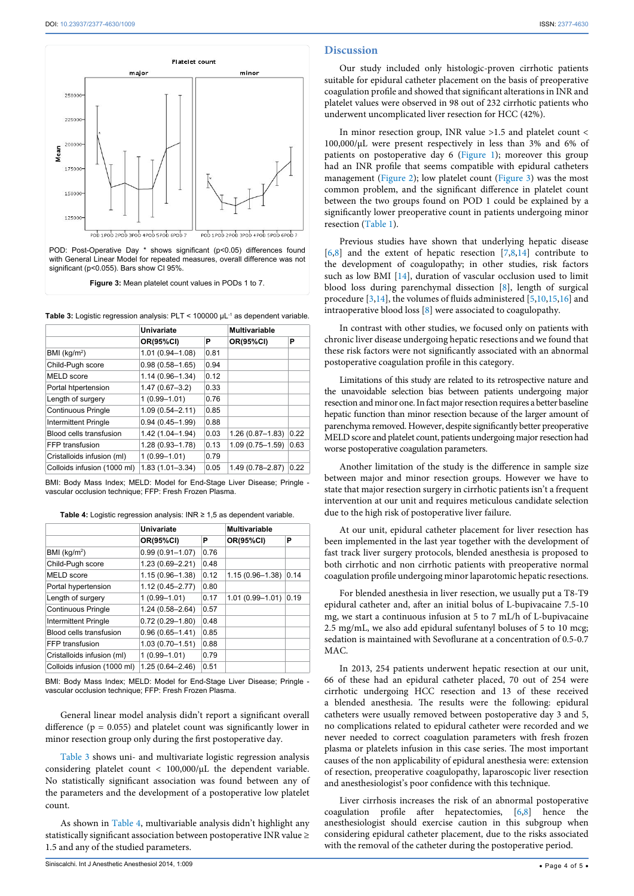

<span id="page-3-0"></span>Table 3: Logistic regression analysis: PLT < 100000  $\mu$ L<sup>-1</sup> as dependent variable.

|                             | Univariate          |      | <b>Multivariable</b> |      |
|-----------------------------|---------------------|------|----------------------|------|
|                             | <b>OR(95%CI)</b>    | Р    | <b>OR(95%CI)</b>     | Р    |
| BMI (kg/m <sup>2</sup> )    | $1.01(0.94 - 1.08)$ | 0.81 |                      |      |
| Child-Pugh score            | $0.98(0.58 - 1.65)$ | 0.94 |                      |      |
| MELD score                  | $1.14(0.96 - 1.34)$ | 0.12 |                      |      |
| Portal htpertension         | $1.47(0.67 - 3.2)$  | 0.33 |                      |      |
| Length of surgery           | $1(0.99 - 1.01)$    | 0.76 |                      |      |
| <b>Continuous Pringle</b>   | $1.09(0.54 - 2.11)$ | 0.85 |                      |      |
| <b>Intermittent Pringle</b> | $0.94(0.45 - 1.99)$ | 0.88 |                      |      |
| Blood cells transfusion     | 1.42 (1.04-1.94)    | 0.03 | $1.26(0.87 - 1.83)$  | 0.22 |
| FFP transfusion             | $1.28(0.93 - 1.78)$ | 0.13 | $1.09(0.75 - 1.59)$  | 0.63 |
| Cristalloids infusion (ml)  | $1(0.99 - 1.01)$    | 0.79 |                      |      |
| Colloids infusion (1000 ml) | $1.83(1.01 - 3.34)$ | 0.05 | 1.49 (0.78-2.87)     | 0.22 |

BMI: Body Mass Index; MELD: Model for End-Stage Liver Disease; Pringle vascular occlusion technique; FFP: Fresh Frozen Plasma.

<span id="page-3-1"></span>

| Table 4: Logistic regression analysis: INR $\geq$ 1,5 as dependent variable. |  |
|------------------------------------------------------------------------------|--|
|------------------------------------------------------------------------------|--|

|                             | Univariate          |      | Multivariable       |      |
|-----------------------------|---------------------|------|---------------------|------|
|                             | OR(95%CI)           | Р    | <b>OR(95%CI)</b>    | Р    |
| BMI (kg/m <sup>2</sup> )    | $0.99(0.91 - 1.07)$ | 0.76 |                     |      |
| Child-Pugh score            | $1.23(0.69 - 2.21)$ | 0.48 |                     |      |
| MELD score                  | $1.15(0.96 - 1.38)$ | 0.12 | $1.15(0.96 - 1.38)$ | 0.14 |
| Portal hypertension         | $1.12(0.45 - 2.77)$ | 0.80 |                     |      |
| Length of surgery           | $1(0.99 - 1.01)$    | 0.17 | $1.01(0.99 - 1.01)$ | 0.19 |
| <b>Continuous Pringle</b>   | $1.24(0.58 - 2.64)$ | 0.57 |                     |      |
| <b>Intermittent Pringle</b> | $0.72(0.29 - 1.80)$ | 0.48 |                     |      |
| Blood cells transfusion     | $0.96(0.65 - 1.41)$ | 0.85 |                     |      |
| FFP transfusion             | $1.03(0.70 - 1.51)$ | 0.88 |                     |      |
| Cristalloids infusion (ml)  | $1(0.99 - 1.01)$    | 0.79 |                     |      |
| Colloids infusion (1000 ml) | $1.25(0.64 - 2.46)$ | 0.51 |                     |      |

BMI: Body Mass Index; MELD: Model for End-Stage Liver Disease; Pringle vascular occlusion technique; FFP: Fresh Frozen Plasma.

General linear model analysis didn't report a significant overall difference ( $p = 0.055$ ) and platelet count was significantly lower in minor resection group only during the first postoperative day.

[Table 3](#page-3-0) shows uni- and multivariate logistic regression analysis considering platelet count < 100,000/µL the dependent variable. No statistically significant association was found between any of the parameters and the development of a postoperative low platelet count.

As shown in [Table 4](#page-3-1), multivariable analysis didn't highlight any statistically significant association between postoperative INR value ≥ 1.5 and any of the studied parameters.

#### **Discussion**

Our study included only histologic-proven cirrhotic patients suitable for epidural catheter placement on the basis of preoperative coagulation profile and showed that significant alterations in INR and platelet values were observed in 98 out of 232 cirrhotic patients who underwent uncomplicated liver resection for HCC (42%).

In minor resection group, INR value >1.5 and platelet count < 100,000/µL were present respectively in less than 3% and 6% of patients on postoperative day 6 [\(Figure 1\)](#page-2-1); moreover this group had an INR profile that seems compatible with epidural catheters management ([Figure 2](#page-2-2)); low platelet count ([Figure 3](#page-2-1)) was the most common problem, and the significant difference in platelet count between the two groups found on POD 1 could be explained by a significantly lower preoperative count in patients undergoing minor resection ([Table 1](#page-1-0)).

Previous studies have shown that underlying hepatic disease  $[6,8]$  $[6,8]$  $[6,8]$  and the extent of hepatic resection  $[7,8,14]$  $[7,8,14]$  $[7,8,14]$  contribute to the development of coagulopathy; in other studies, risk factors such as low BMI [\[14](#page-4-12)], duration of vascular occlusion used to limit blood loss during parenchymal dissection [[8](#page-4-7)], length of surgical procedure [[3](#page-4-2)[,14\]](#page-4-12), the volumes of fluids administered [[5](#page-4-4)[,10,](#page-4-13)[15](#page-4-14),[16](#page-4-15)] and intraoperative blood loss [\[8](#page-4-7)] were associated to coagulopathy.

In contrast with other studies, we focused only on patients with chronic liver disease undergoing hepatic resections and we found that these risk factors were not significantly associated with an abnormal postoperative coagulation profile in this category.

Limitations of this study are related to its retrospective nature and the unavoidable selection bias between patients undergoing major resection and minor one. In fact major resection requires a better baseline hepatic function than minor resection because of the larger amount of parenchyma removed. However, despite significantly better preoperative MELD score and platelet count, patients undergoing major resection had worse postoperative coagulation parameters.

Another limitation of the study is the difference in sample size between major and minor resection groups. However we have to state that major resection surgery in cirrhotic patients isn't a frequent intervention at our unit and requires meticulous candidate selection due to the high risk of postoperative liver failure.

At our unit, epidural catheter placement for liver resection has been implemented in the last year together with the development of fast track liver surgery protocols, blended anesthesia is proposed to both cirrhotic and non cirrhotic patients with preoperative normal coagulation profile undergoing minor laparotomic hepatic resections.

For blended anesthesia in liver resection, we usually put a T8-T9 epidural catheter and, after an initial bolus of L-bupivacaine 7.5-10 mg, we start a continuous infusion at 5 to 7 mL/h of L-bupivacaine 2.5 mg/mL, we also add epidural sufentanyl boluses of 5 to 10 mcg; sedation is maintained with Sevoflurane at a concentration of 0.5-0.7 MAC.

In 2013, 254 patients underwent hepatic resection at our unit, 66 of these had an epidural catheter placed, 70 out of 254 were cirrhotic undergoing HCC resection and 13 of these received a blended anesthesia. The results were the following: epidural catheters were usually removed between postoperative day 3 and 5, no complications related to epidural catheter were recorded and we never needed to correct coagulation parameters with fresh frozen plasma or platelets infusion in this case series. The most important causes of the non applicability of epidural anesthesia were: extension of resection, preoperative coagulopathy, laparoscopic liver resection and anesthesiologist's poor confidence with this technique.

Liver cirrhosis increases the risk of an abnormal postoperative coagulation profile after hepatectomies, [[6,](#page-4-5)[8](#page-4-7)] hence the anesthesiologist should exercise caution in this subgroup when considering epidural catheter placement, due to the risks associated with the removal of the catheter during the postoperative period.